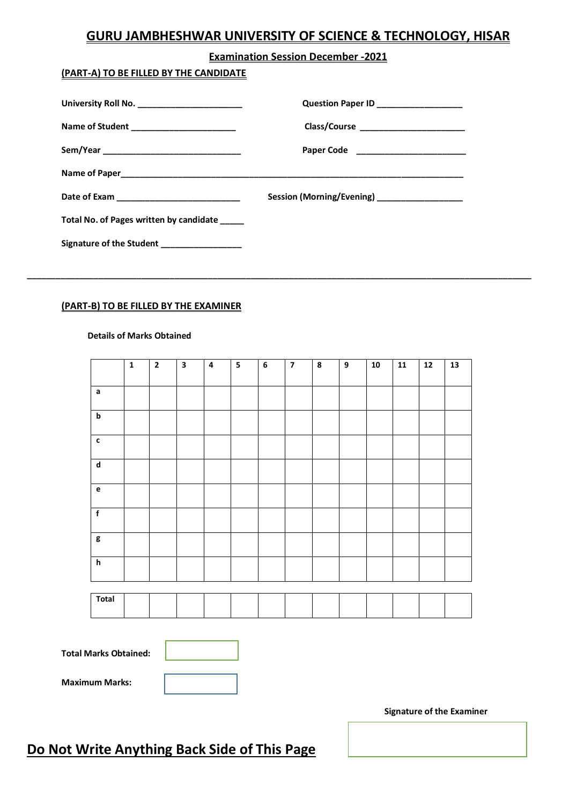## **GURU JAMBHESHWAR UNIVERSITY OF SCIENCE & TECHNOLOGY, HISAR**

#### **Examination Session December -2021**

### **(PART-A) TO BE FILLED BY THE CANDIDATE**

| University Roll No. _______________________ | Question Paper ID __________________        |
|---------------------------------------------|---------------------------------------------|
| Name of Student _________________________   |                                             |
|                                             |                                             |
|                                             |                                             |
| Date of Exam ____________________________   | Session (Morning/Evening) _________________ |
| Total No. of Pages written by candidate     |                                             |
| Signature of the Student ________________   |                                             |

**\_\_\_\_\_\_\_\_\_\_\_\_\_\_\_\_\_\_\_\_\_\_\_\_\_\_\_\_\_\_\_\_\_\_\_\_\_\_\_\_\_\_\_\_\_\_\_\_\_\_\_\_\_\_\_\_\_\_\_\_\_\_\_\_\_\_\_\_\_\_\_\_\_\_\_\_\_\_\_\_\_\_\_\_\_\_\_\_\_\_\_\_\_\_\_\_\_\_\_\_\_\_\_\_\_\_**

### **(PART-B) TO BE FILLED BY THE EXAMINER**

#### **Details of Marks Obtained**

|                           | $\mathbf 1$ | $\overline{2}$ | $\overline{\mathbf{a}}$ | $\overline{\mathbf{4}}$ | $\overline{\mathbf{5}}$ | $\overline{6}$ | $\overline{\mathbf{z}}$ | $\overline{\mathbf{8}}$ | $\boldsymbol{9}$ | 10 | $\overline{11}$ | $\overline{12}$ | 13 |
|---------------------------|-------------|----------------|-------------------------|-------------------------|-------------------------|----------------|-------------------------|-------------------------|------------------|----|-----------------|-----------------|----|
| $\mathsf a$               |             |                |                         |                         |                         |                |                         |                         |                  |    |                 |                 |    |
| $\boldsymbol{\mathsf{b}}$ |             |                |                         |                         |                         |                |                         |                         |                  |    |                 |                 |    |
| $\mathbf c$               |             |                |                         |                         |                         |                |                         |                         |                  |    |                 |                 |    |
| $\overline{\mathsf{d}}$   |             |                |                         |                         |                         |                |                         |                         |                  |    |                 |                 |    |
| $\mathbf{e}$              |             |                |                         |                         |                         |                |                         |                         |                  |    |                 |                 |    |
| $\overline{f}$            |             |                |                         |                         |                         |                |                         |                         |                  |    |                 |                 |    |
| $\mathsf g$               |             |                |                         |                         |                         |                |                         |                         |                  |    |                 |                 |    |
| $\overline{h}$            |             |                |                         |                         |                         |                |                         |                         |                  |    |                 |                 |    |



| <b>Total Marks Obtained:</b> |  |
|------------------------------|--|
|------------------------------|--|

**Maximum Marks:** 

# **Do Not Write Anything Back Side of This Page**